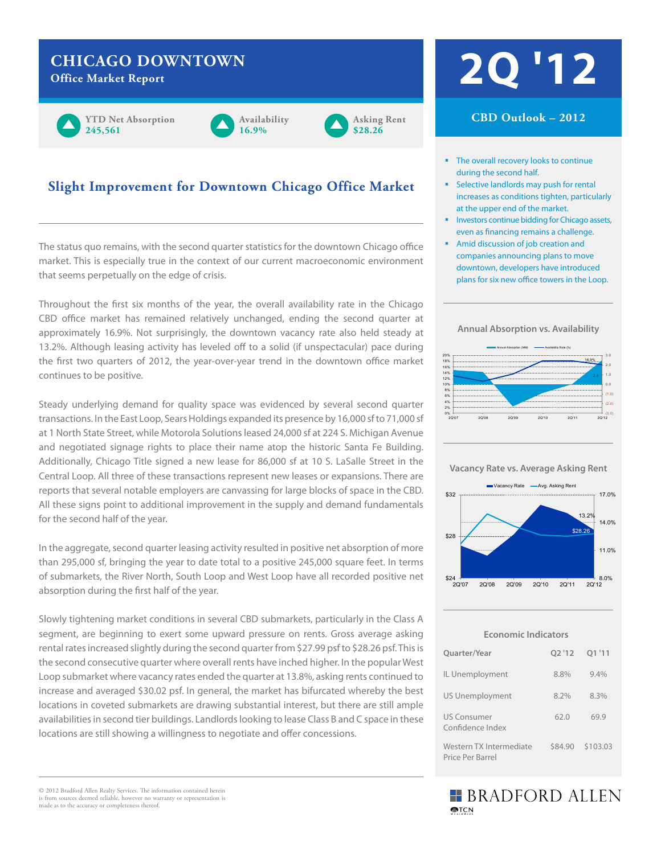## **CHICAGO DOWNTOWN**



#### **Availability 16.9%**



#### **Slight Improvement for Downtown Chicago Office Market**

The status quo remains, with the second quarter statistics for the downtown Chicago office market. This is especially true in the context of our current macroeconomic environment that seems perpetually on the edge of crisis.

Throughout the first six months of the year, the overall availability rate in the Chicago CBD office market has remained relatively unchanged, ending the second quarter at approximately 16.9%. Not surprisingly, the downtown vacancy rate also held steady at 13.2%. Although leasing activity has leveled off to a solid (if unspectacular) pace during the first two quarters of 2012, the year-over-year trend in the downtown office market continues to be positive.

Steady underlying demand for quality space was evidenced by several second quarter transactions. In the East Loop, Sears Holdings expanded its presence by 16,000 sf to 71,000 sf at 1 North State Street, while Motorola Solutions leased 24,000 sf at 224 S. Michigan Avenue and negotiated signage rights to place their name atop the historic Santa Fe Building. Additionally, Chicago Title signed a new lease for 86,000 sf at 10 S. LaSalle Street in the Central Loop. All three of these transactions represent new leases or expansions. There are reports that several notable employers are canvassing for large blocks of space in the CBD. All these signs point to additional improvement in the supply and demand fundamentals for the second half of the year.

In the aggregate, second quarter leasing activity resulted in positive net absorption of more than 295,000 sf, bringing the year to date total to a positive 245,000 square feet. In terms of submarkets, the River North, South Loop and West Loop have all recorded positive net absorption during the first half of the year.

Slowly tightening market conditions in several CBD submarkets, particularly in the Class A segment, are beginning to exert some upward pressure on rents. Gross average asking rental rates increased slightly during the second quarter from \$27.99 psf to \$28.26 psf. This is the second consecutive quarter where overall rents have inched higher. In the popular West Loop submarket where vacancy rates ended the quarter at 13.8%, asking rents continued to increase and averaged \$30.02 psf. In general, the market has bifurcated whereby the best locations in coveted submarkets are drawing substantial interest, but there are still ample availabilities in second tier buildings. Landlords looking to lease Class B and C space in these locations are still showing a willingness to negotiate and offer concessions.

# CHICAGO DOWNTOWN<br>Office Market Report

#### **CBD Outlook – 2012**

- The overall recovery looks to continue during the second half.
- Selective landlords may push for rental increases as conditions tighten, particularly at the upper end of the market.
- **Investors continue bidding for Chicago assets,** even as financing remains a challenge.
- **Amid discussion of job creation and** companies announcing plans to move downtown, developers have introduced plans for six new office towers in the Loop.





**Vacancy Rate vs. Average Asking Rent**



**Economic Indicators**

| Quarter/Year                                |         | 02'12 01'11 |
|---------------------------------------------|---------|-------------|
| IL Unemployment                             | 8.8%    | 9.4%        |
| <b>US Unemployment</b>                      | 8.2%    | 8.3%        |
| <b>US Consumer</b><br>Confidence Index      | 62.0    | 69.9        |
| Western TX Intermediate<br>Price Per Barrel | \$84.90 | \$103.03    |

#### **BRADFORD ALLEN MPTCN**